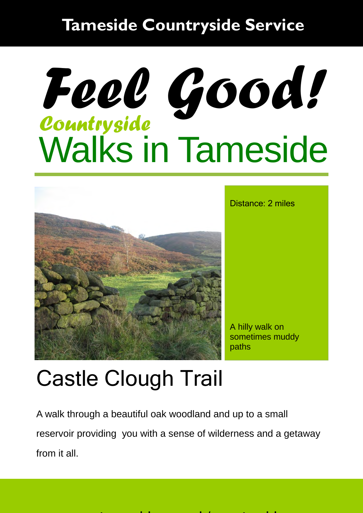#### **Tameside Countryside Service**

# Walks in Tameside *Countryside Feel Good!*



Distance: 2 miles

A hilly walk on sometimes muddy paths

### Castle Clough Trail

A walk through a beautiful oak woodland and up to a small reservoir providing you with a sense of wilderness and a getaway from it all.

ww.tameside.gov.uk/countryside.gov.uk/countryside.gov.uk/countryside.gov.uk/countryside.gov.uk/countryside.gov